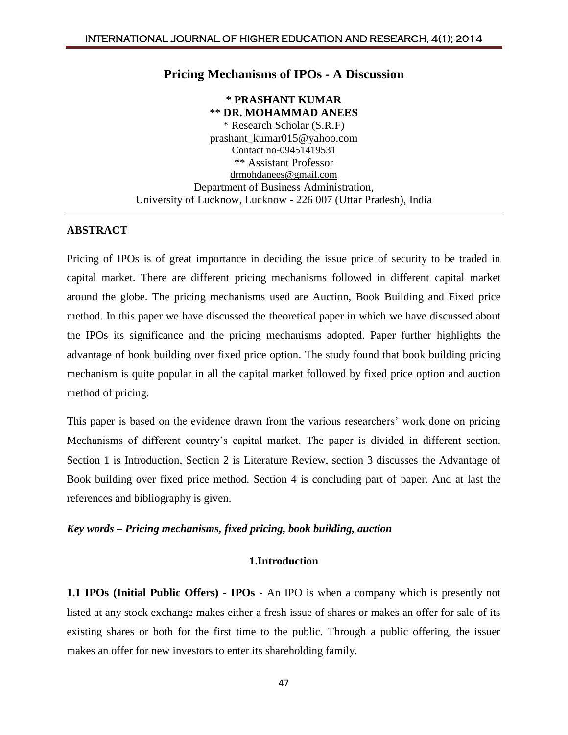## **Pricing Mechanisms of IPOs - A Discussion**

**\* PRASHANT KUMAR** \*\* **DR. MOHAMMAD ANEES** \* Research Scholar (S.R.F) prashant\_kumar015@yahoo.com Contact no-09451419531 \*\* Assistant Professor [drmohdanees@gmail.com](mailto:drmohdanees@gmail.com) Department of Business Administration, University of Lucknow, Lucknow - 226 007 (Uttar Pradesh), India

#### **ABSTRACT**

Pricing of IPOs is of great importance in deciding the issue price of security to be traded in capital market. There are different pricing mechanisms followed in different capital market around the globe. The pricing mechanisms used are Auction, Book Building and Fixed price method. In this paper we have discussed the theoretical paper in which we have discussed about the IPOs its significance and the pricing mechanisms adopted. Paper further highlights the advantage of book building over fixed price option. The study found that book building pricing mechanism is quite popular in all the capital market followed by fixed price option and auction method of pricing.

This paper is based on the evidence drawn from the various researchers' work done on pricing Mechanisms of different country's capital market. The paper is divided in different section. Section 1 is Introduction, Section 2 is Literature Review, section 3 discusses the Advantage of Book building over fixed price method. Section 4 is concluding part of paper. And at last the references and bibliography is given.

#### *Key words – Pricing mechanisms, fixed pricing, book building, auction*

#### **1.Introduction**

**1.1 IPOs (Initial Public Offers) - IPOs** - An IPO is when a company which is presently not listed at any stock exchange makes either a fresh issue of shares or makes an offer for sale of its existing shares or both for the first time to the public. Through a public offering, the issuer makes an offer for new investors to enter its shareholding family.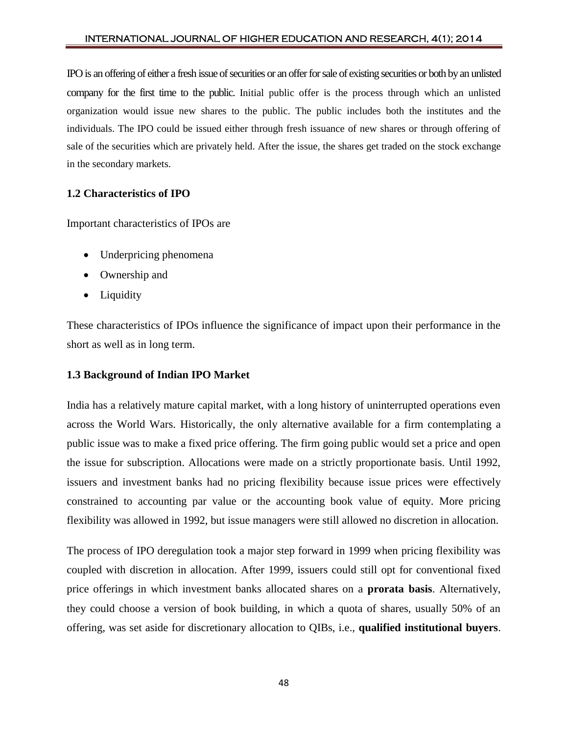IPO is an offering of either a fresh issue of securities or an offer for sale of existing securities or both by an unlisted company for the first time to the public. Initial public offer is the process through which an unlisted organization would issue new shares to the public. The public includes both the institutes and the individuals. The IPO could be issued either through fresh issuance of new shares or through offering of sale of the securities which are privately held. After the issue, the shares get traded on the stock exchange in the secondary markets.

## **1.2 Characteristics of IPO**

Important characteristics of IPOs are

- Underpricing phenomena
- Ownership and
- Liquidity

These characteristics of IPOs influence the significance of impact upon their performance in the short as well as in long term.

## **1.3 Background of Indian IPO Market**

India has a relatively mature capital market, with a long history of uninterrupted operations even across the World Wars. Historically, the only alternative available for a firm contemplating a public issue was to make a fixed price offering. The firm going public would set a price and open the issue for subscription. Allocations were made on a strictly proportionate basis. Until 1992, issuers and investment banks had no pricing flexibility because issue prices were effectively constrained to accounting par value or the accounting book value of equity. More pricing flexibility was allowed in 1992, but issue managers were still allowed no discretion in allocation.

The process of IPO deregulation took a major step forward in 1999 when pricing flexibility was coupled with discretion in allocation. After 1999, issuers could still opt for conventional fixed price offerings in which investment banks allocated shares on a **prorata basis**. Alternatively, they could choose a version of book building, in which a quota of shares, usually 50% of an offering, was set aside for discretionary allocation to QIBs, i.e., **qualified institutional buyers**.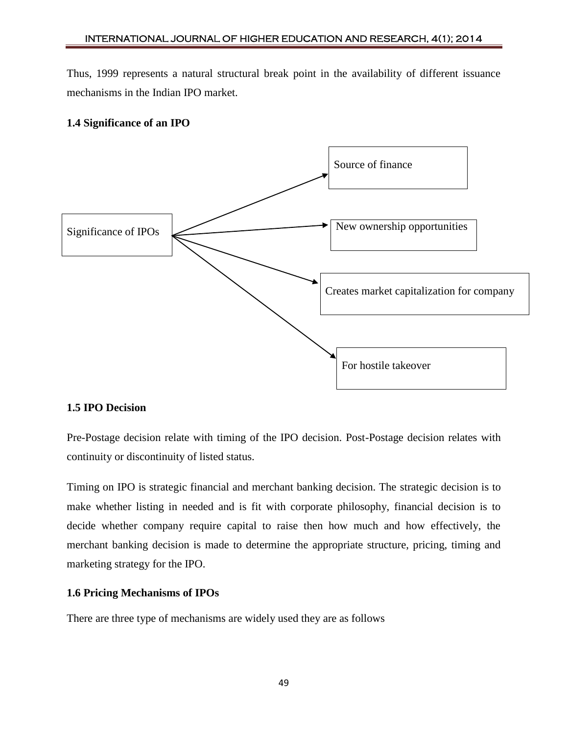Thus, 1999 represents a natural structural break point in the availability of different issuance mechanisms in the Indian IPO market.

# **1.4 Significance of an IPO**



## **1.5 IPO Decision**

Pre-Postage decision relate with timing of the IPO decision. Post-Postage decision relates with continuity or discontinuity of listed status.

Timing on IPO is strategic financial and merchant banking decision. The strategic decision is to make whether listing in needed and is fit with corporate philosophy, financial decision is to decide whether company require capital to raise then how much and how effectively, the merchant banking decision is made to determine the appropriate structure, pricing, timing and marketing strategy for the IPO.

## **1.6 Pricing Mechanisms of IPOs**

There are three type of mechanisms are widely used they are as follows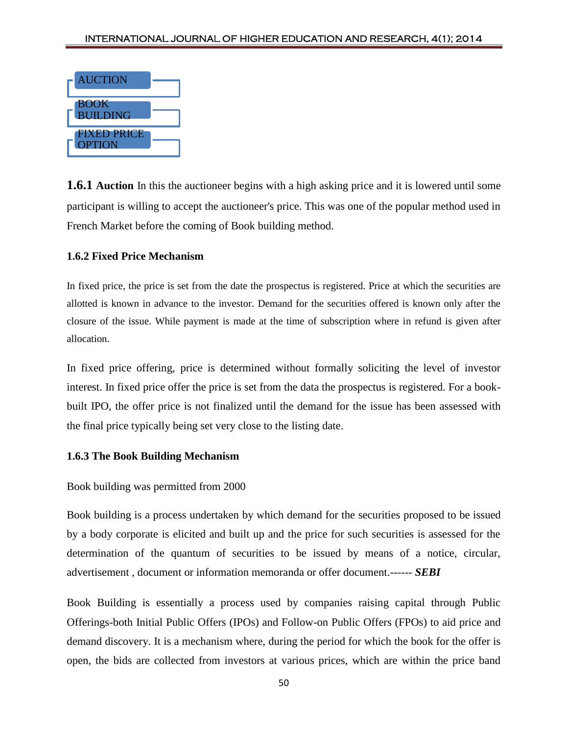

**1.6.1 Auction** In this the auctioneer begins with a high asking price and it is lowered until some participant is willing to accept the auctioneer's price. This was one of the popular method used in French Market before the coming of Book building method.

## **1.6.2 Fixed Price Mechanism**

In fixed price, the price is set from the date the prospectus is registered. Price at which the securities are allotted is known in advance to the investor. Demand for the securities offered is known only after the closure of the issue. While payment is made at the time of subscription where in refund is given after allocation.

In fixed price offering, price is determined without formally soliciting the level of investor interest. In fixed price offer the price is set from the data the prospectus is registered. For a bookbuilt IPO, the offer price is not finalized until the demand for the issue has been assessed with the final price typically being set very close to the listing date.

## **1.6.3 The Book Building Mechanism**

## Book building was permitted from 2000

Book building is a process undertaken by which demand for the securities proposed to be issued by a body corporate is elicited and built up and the price for such securities is assessed for the determination of the quantum of securities to be issued by means of a notice, circular, advertisement , document or information memoranda or offer document.------ *SEBI*

Book Building is essentially a process used by companies raising capital through Public Offerings-both Initial Public Offers (IPOs) and Follow-on Public Offers (FPOs) to aid price and demand discovery. It is a mechanism where, during the period for which the book for the offer is open, the bids are collected from investors at various prices, which are within the price band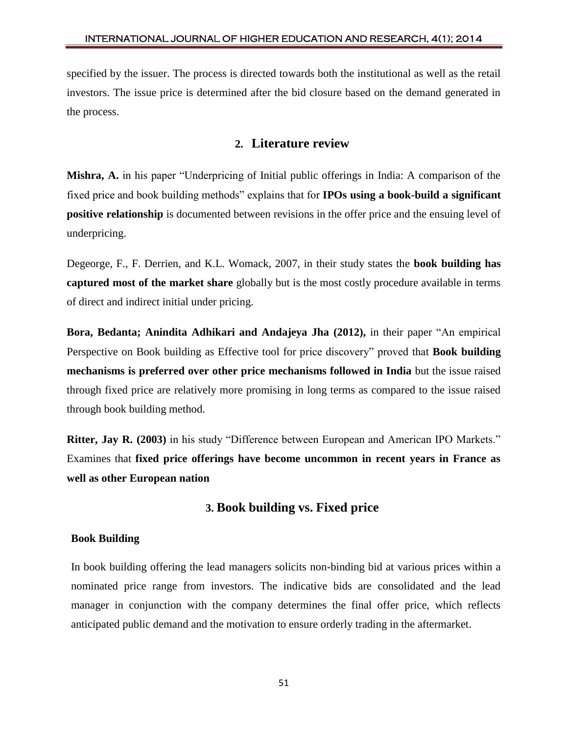specified by the issuer. The process is directed towards both the institutional as well as the retail investors. The issue price is determined after the bid closure based on the demand generated in the process.

# **2. Literature review**

**Mishra, A.** in his paper "Underpricing of Initial public offerings in India: A comparison of the fixed price and book building methods" explains that for **IPOs using a book-build a significant positive relationship** is documented between revisions in the offer price and the ensuing level of underpricing.

Degeorge, F., F. Derrien, and K.L. Womack, 2007, in their study states the **book building has captured most of the market share** globally but is the most costly procedure available in terms of direct and indirect initial under pricing.

**Bora, Bedanta; Anindita Adhikari and Andajeya Jha (2012),** in their paper "An empirical Perspective on Book building as Effective tool for price discovery" proved that **Book building mechanisms is preferred over other price mechanisms followed in India** but the issue raised through fixed price are relatively more promising in long terms as compared to the issue raised through book building method.

**Ritter, Jay R. (2003)** in his study "Difference between European and American IPO Markets." Examines that **fixed price offerings have become uncommon in recent years in France as well as other European nation**

# **3. Book building vs. Fixed price**

## **Book Building**

In book building offering the lead managers solicits non-binding bid at various prices within a nominated price range from investors. The indicative bids are consolidated and the lead manager in conjunction with the company determines the final offer price, which reflects anticipated public demand and the motivation to ensure orderly trading in the aftermarket.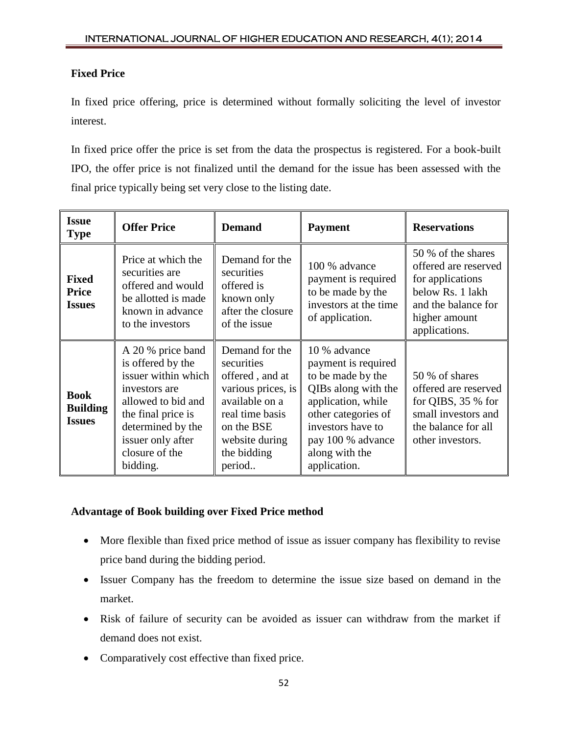# **Fixed Price**

In fixed price offering, price is determined without formally soliciting the level of investor interest.

In fixed price offer the price is set from the data the prospectus is registered. For a book-built IPO, the offer price is not finalized until the demand for the issue has been assessed with the final price typically being set very close to the listing date.

| <b>Issue</b><br><b>Type</b>                     | <b>Offer Price</b>                                                                                                                                                                                 | <b>Demand</b>                                                                                                                                                       | <b>Payment</b>                                                                                                                                                                                           | <b>Reservations</b>                                                                                                                         |
|-------------------------------------------------|----------------------------------------------------------------------------------------------------------------------------------------------------------------------------------------------------|---------------------------------------------------------------------------------------------------------------------------------------------------------------------|----------------------------------------------------------------------------------------------------------------------------------------------------------------------------------------------------------|---------------------------------------------------------------------------------------------------------------------------------------------|
| <b>Fixed</b><br><b>Price</b><br><b>Issues</b>   | Price at which the<br>securities are<br>offered and would<br>be allotted is made<br>known in advance<br>to the investors                                                                           | Demand for the<br>securities<br>offered is<br>known only<br>after the closure<br>of the issue                                                                       | 100 % advance<br>payment is required<br>to be made by the<br>investors at the time.<br>of application.                                                                                                   | 50 % of the shares<br>offered are reserved<br>for applications<br>below Rs. 1 lakh<br>and the balance for<br>higher amount<br>applications. |
| <b>Book</b><br><b>Building</b><br><b>Issues</b> | A 20 % price band<br>is offered by the<br>issuer within which<br>investors are<br>allowed to bid and<br>the final price is<br>determined by the<br>issuer only after<br>closure of the<br>bidding. | Demand for the<br>securities<br>offered, and at<br>various prices, is<br>available on a<br>real time basis<br>on the BSE<br>website during<br>the bidding<br>period | 10 % advance<br>payment is required<br>to be made by the<br>QIBs along with the<br>application, while<br>other categories of<br>investors have to<br>pay 100 % advance<br>along with the<br>application. | 50 % of shares<br>offered are reserved<br>for QIBS, $35%$ for<br>small investors and<br>the balance for all<br>other investors.             |

## **Advantage of Book building over Fixed Price method**

- More flexible than fixed price method of issue as issuer company has flexibility to revise price band during the bidding period.
- Issuer Company has the freedom to determine the issue size based on demand in the market.
- Risk of failure of security can be avoided as issuer can withdraw from the market if demand does not exist.
- Comparatively cost effective than fixed price.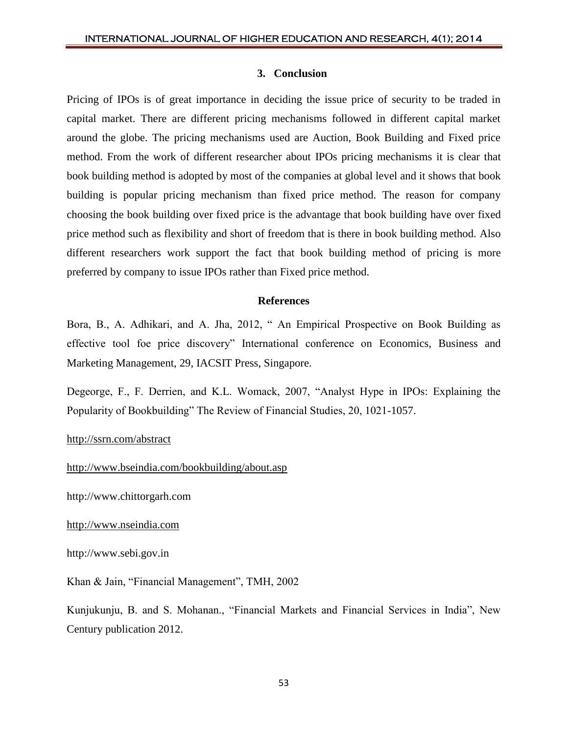#### **3. Conclusion**

Pricing of IPOs is of great importance in deciding the issue price of security to be traded in capital market. There are different pricing mechanisms followed in different capital market around the globe. The pricing mechanisms used are Auction, Book Building and Fixed price method. From the work of different researcher about IPOs pricing mechanisms it is clear that book building method is adopted by most of the companies at global level and it shows that book building is popular pricing mechanism than fixed price method. The reason for company choosing the book building over fixed price is the advantage that book building have over fixed price method such as flexibility and short of freedom that is there in book building method. Also different researchers work support the fact that book building method of pricing is more preferred by company to issue IPOs rather than Fixed price method.

## **References**

Bora, B., A. Adhikari, and A. Jha, 2012, " An Empirical Prospective on Book Building as effective tool foe price discovery" International conference on Economics, Business and Marketing Management, 29, IACSIT Press, Singapore.

Degeorge, F., F. Derrien, and K.L. Womack, 2007, "Analyst Hype in IPOs: Explaining the Popularity of Bookbuilding" The Review of Financial Studies, 20, 1021-1057.

## <http://ssrn.com/abstract>

<http://www.bseindia.com/bookbuilding/about.asp>

http://www.chittorgarh.com

[http://www.nseindia.com](http://www.nseindia.com/)

http://www.sebi.gov.in

Khan & Jain, "Financial Management", TMH, 2002

Kunjukunju, B. and S. Mohanan., "Financial Markets and Financial Services in India", New Century publication 2012.